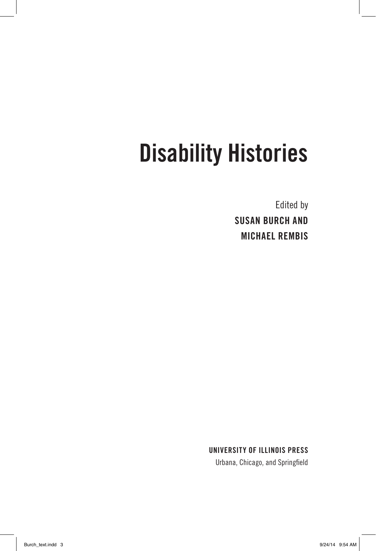# Disability Histories

Edited by Susan Burch and Michael Rembis

University of Illinois Press

Urbana, Chicago, and Springfield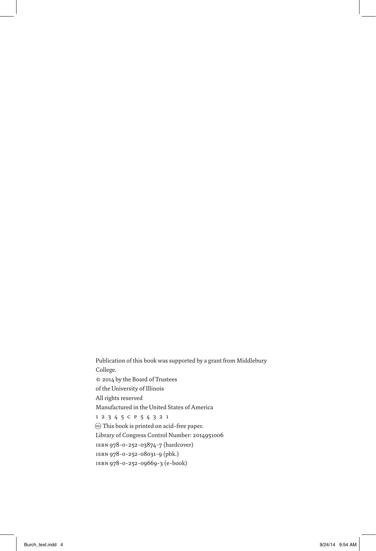Publication of this book was supported by a grant from Middlebury College. © 2014 by the Board of Trustees of the University of Illinois All rights reserved Manufactured in the United States of America 1 2 3 4 5 c p 5 4 3 2 1 ∞ This book is printed on acid-free paper. Library of Congress Control Number: 2014951006 isbn 978-0-252-03874-7 (hardcover) isbn 978-0-252-08031-9 (pbk.) isbn 978-0-252-09669-3 (e-book)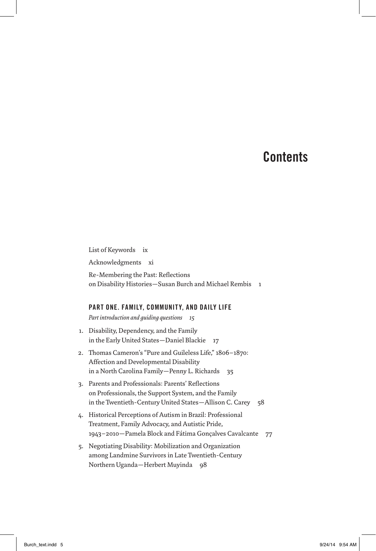# **Contents**

 List of Keywords ix Acknowledgments xi

Re-Membering the Past: Reflections on Disability Histories—Susan Burch and Michael Rembis 1

### PART ONE. FAMILY, COMMUNITY, AND DAILY LIFE

*Part introduction and guiding questions 15*

- 1. Disability, Dependency, and the Family in the Early United States—Daniel Blackie 17
- 2. Thomas Cameron's "Pure and Guileless Life," 1806–1870: Affection and Developmental Disability in a North Carolina Family—Penny L. Richards 35
- 3. Parents and Professionals: Parents' Reflections on Professionals, the Support System, and the Family in the Twentieth-Century United States-Allison C. Carey 58
- 4. Historical Perceptions of Autism in Brazil: Professional Treatment, Family Advocacy, and Autistic Pride, 1943–2010—Pamela Block and Fátima Gonçalves Cavalcante 77
- 5. Negotiating Disability: Mobilization and Organization among Landmine Survivors in Late Twentieth-Century Northern Uganda—Herbert Muyinda 98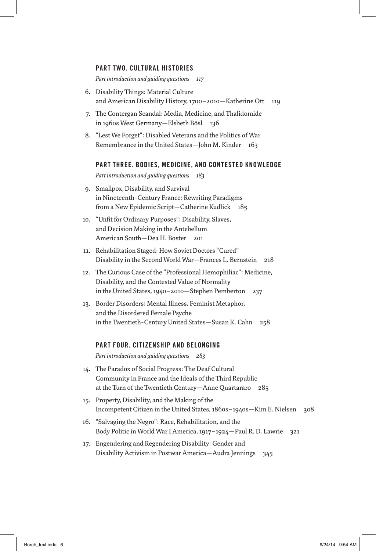### Part Two. Cultural Histories

*Part introduction and guiding questions 117*

- 6. Disability Things: Material Culture and American Disability History, 1700–2010—Katherine Ott 119
- 7. The Contergan Scandal: Media, Medicine, and Thalidomide in 1960s West Germany—Elsbeth Bösl 136
- 8. "Lest We Forget": Disabled Veterans and the Politics of War Remembrance in the United States-John M. Kinder 163

## Part Three. Bodies, Medicine, and Contested Knowledge

*Part introduction and guiding questions 183*

- 9. Smallpox, Disability, and Survival in Nineteenth-Century France: Rewriting Paradigms from a New Epidemic Script—Catherine Kudlick 185
- 10. "Unfit for Ordinary Purposes": Disability, Slaves, and Decision Making in the Antebellum American South—Dea H. Boster 201
- 11. Rehabilitation Staged: How Soviet Doctors "Cured" Disability in the Second World War—Frances L. Bernstein 218
- 12. The Curious Case of the "Professional Hemophiliac": Medicine, Disability, and the Contested Value of Normality in the United States, 1940–2010—Stephen Pemberton 237
- 13. Border Disorders: Mental Illness, Feminist Metaphor, and the Disordered Female Psyche in the Twentieth-Century United States—Susan K. Cahn 258

## PART FOUR. CITIZENSHIP AND BELONGING

*Part introduction and guiding questions 283*

- 14. The Paradox of Social Progress: The Deaf Cultural Community in France and the Ideals of the Third Republic at the Turn of the Twentieth Century—Anne Quartararo 285
- 15. Property, Disability, and the Making of the Incompetent Citizen in the United States, 1860s–1940s—Kim E. Nielsen 308
- 16. "Salvaging the Negro": Race, Rehabilitation, and the Body Politic in World War I America, 1917-1924-Paul R. D. Lawrie 321
- 17. Engendering and Regendering Disability: Gender and Disability Activism in Postwar America—Audra Jennings 345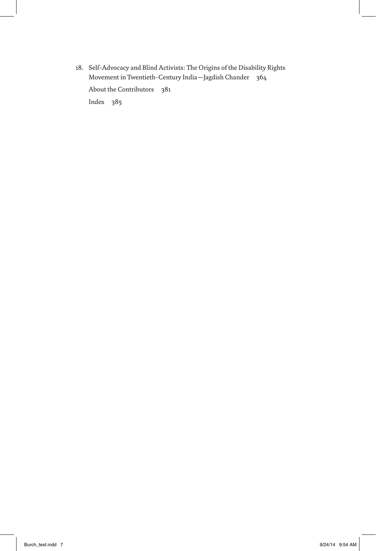18. Self-Advocacy and Blind Activists: The Origins of the Disability Rights Movement in Twentieth-Century India—Jagdish Chander 364 About the Contributors 381

Index 385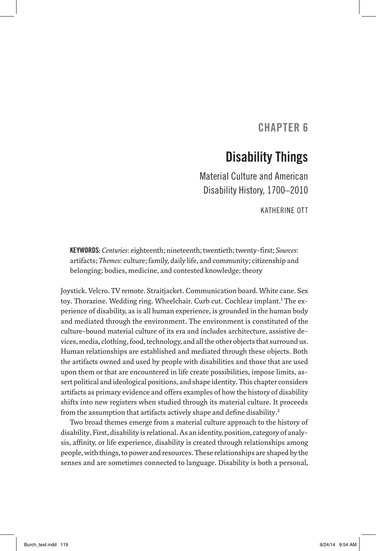# CHAPTER 6

# Disability Things

Material Culture and American Disability History, 1700–2010

Katherine Ott

Keywords: *Centuries*: eighteenth; nineteenth; twentieth; twenty-first; *Sources*: artifacts; *Themes*: culture; family, daily life, and community; citizenship and belonging; bodies, medicine, and contested knowledge; theory

Joystick. Velcro. TV remote. Straitjacket. Communication board. White cane. Sex toy. Thorazine. Wedding ring. Wheelchair. Curb cut. Cochlear implant.<sup>1</sup> The experience of disability, as is all human experience, is grounded in the human body and mediated through the environment. The environment is constituted of the culture-bound material culture of its era and includes architecture, assistive devices, media, clothing, food, technology, and all the other objects that surround us. Human relationships are established and mediated through these objects. Both the artifacts owned and used by people with disabilities and those that are used upon them or that are encountered in life create possibilities, impose limits, assert political and ideological positions, and shape identity. This chapter considers artifacts as primary evidence and offers examples of how the history of disability shifts into new registers when studied through its material culture. It proceeds from the assumption that artifacts actively shape and define disability.<sup>2</sup>

Two broad themes emerge from a material culture approach to the history of disability. First, disability is relational. As an identity, position, category of analysis, affinity, or life experience, disability is created through relationships among people, with things, to power and resources. These relationships are shaped by the senses and are sometimes connected to language. Disability is both a personal,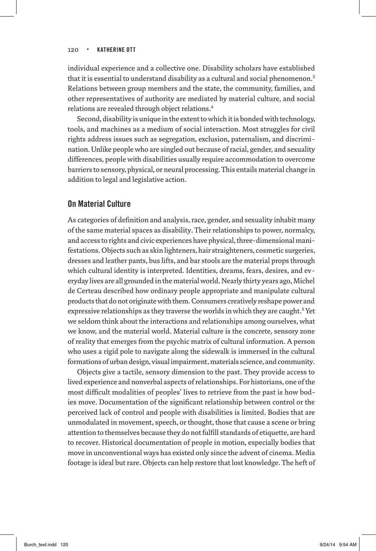individual experience and a collective one. Disability scholars have established that it is essential to understand disability as a cultural and social phenomenon.<sup>3</sup> Relations between group members and the state, the community, families, and other representatives of authority are mediated by material culture, and social relations are revealed through object relations.<sup>4</sup>

Second, disability is unique in the extent to which it is bonded with technology, tools, and machines as a medium of social interaction. Most struggles for civil rights address issues such as segregation, exclusion, paternalism, and discrimination. Unlike people who are singled out because of racial, gender, and sexuality differences, people with disabilities usually require accommodation to overcome barriers to sensory, physical, or neural processing. This entails material change in addition to legal and legislative action.

# On Material Culture

As categories of definition and analysis, race, gender, and sexuality inhabit many of the same material spaces as disability. Their relationships to power, normalcy, and access to rights and civic experiences have physical, three-dimensional manifestations. Objects such as skin lighteners, hair straighteners, cosmetic surgeries, dresses and leather pants, bus lifts, and bar stools are the material props through which cultural identity is interpreted. Identities, dreams, fears, desires, and everyday lives are all grounded in the material world. Nearly thirty years ago, Michel de Certeau described how ordinary people appropriate and manipulate cultural products that do not originate with them. Consumers creatively reshape power and expressive relationships as they traverse the worlds in which they are caught.<sup>5</sup> Yet we seldom think about the interactions and relationships among ourselves, what we know, and the material world. Material culture is the concrete, sensory zone of reality that emerges from the psychic matrix of cultural information. A person who uses a rigid pole to navigate along the sidewalk is immersed in the cultural formations of urban design, visual impairment, materials science, and community.

Objects give a tactile, sensory dimension to the past. They provide access to lived experience and nonverbal aspects of relationships. For historians, one of the most difficult modalities of peoples' lives to retrieve from the past is how bodies move. Documentation of the significant relationship between control or the perceived lack of control and people with disabilities is limited. Bodies that are unmodulated in movement, speech, or thought, those that cause a scene or bring attention to themselves because they do not fulfill standards of etiquette, are hard to recover. Historical documentation of people in motion, especially bodies that move in unconventional ways has existed only since the advent of cinema. Media footage is ideal but rare. Objects can help restore that lost knowledge. The heft of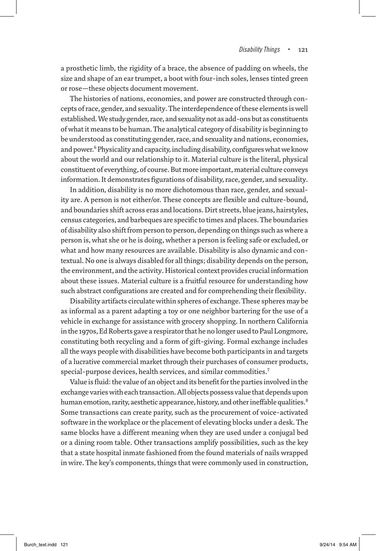a prosthetic limb, the rigidity of a brace, the absence of padding on wheels, the size and shape of an ear trumpet, a boot with four-inch soles, lenses tinted green or rose—these objects document movement.

The histories of nations, economies, and power are constructed through concepts of race, gender, and sexuality. The interdependence of these elements is well established. We study gender, race, and sexuality not as add-ons but as constituents of what it means to be human. The analytical category of disability is beginning to be understood as constituting gender, race, and sexuality and nations, economies, and power.6 Physicality and capacity, including disability, configures what we know about the world and our relationship to it. Material culture is the literal, physical constituent of everything, of course. But more important, material culture conveys information. It demonstrates figurations of disability, race, gender, and sexuality.

In addition, disability is no more dichotomous than race, gender, and sexuality are. A person is not either/or. These concepts are flexible and culture-bound, and boundaries shift across eras and locations. Dirt streets, blue jeans, hairstyles, census categories, and barbeques are specific to times and places. The boundaries of disability also shift from person to person, depending on things such as where a person is, what she or he is doing, whether a person is feeling safe or excluded, or what and how many resources are available. Disability is also dynamic and contextual. No one is always disabled for all things; disability depends on the person, the environment, and the activity. Historical context provides crucial information about these issues. Material culture is a fruitful resource for understanding how such abstract configurations are created and for comprehending their flexibility.

Disability artifacts circulate within spheres of exchange. These spheres may be as informal as a parent adapting a toy or one neighbor bartering for the use of a vehicle in exchange for assistance with grocery shopping. In northern California in the 1970s, Ed Roberts gave a respirator that he no longer used to Paul Longmore, constituting both recycling and a form of gift-giving. Formal exchange includes all the ways people with disabilities have become both participants in and targets of a lucrative commercial market through their purchases of consumer products, special-purpose devices, health services, and similar commodities.<sup>7</sup>

Value is fluid: the value of an object and its benefit for the parties involved in the exchange varies with each transaction. All objects possess value that depends upon human emotion, rarity, aesthetic appearance, history, and other ineffable qualities.<sup>8</sup> Some transactions can create parity, such as the procurement of voice-activated software in the workplace or the placement of elevating blocks under a desk. The same blocks have a different meaning when they are used under a conjugal bed or a dining room table. Other transactions amplify possibilities, such as the key that a state hospital inmate fashioned from the found materials of nails wrapped in wire. The key's components, things that were commonly used in construction,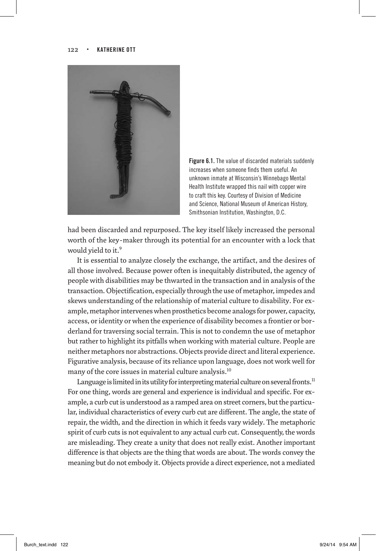

**Figure 6.1.** The value of discarded materials suddenly increases when someone finds them useful. An unknown inmate at Wisconsin's Winnebago Mental Health Institute wrapped this nail with copper wire to craft this key. Courtesy of Division of Medicine and Science, National Museum of American History, Smithsonian Institution, Washington, D.C.

had been discarded and repurposed. The key itself likely increased the personal worth of the key-maker through its potential for an encounter with a lock that would yield to it.<sup>9</sup>

It is essential to analyze closely the exchange, the artifact, and the desires of all those involved. Because power often is inequitably distributed, the agency of people with disabilities may be thwarted in the transaction and in analysis of the transaction. Objectification, especially through the use of metaphor, impedes and skews understanding of the relationship of material culture to disability. For example, metaphor intervenes when prosthetics become analogs for power, capacity, access, or identity or when the experience of disability becomes a frontier or borderland for traversing social terrain. This is not to condemn the use of metaphor but rather to highlight its pitfalls when working with material culture. People are neither metaphors nor abstractions. Objects provide direct and literal experience. Figurative analysis, because of its reliance upon language, does not work well for many of the core issues in material culture analysis.<sup>10</sup>

Language is limited in its utility for interpreting material culture on several fronts.<sup>11</sup> For one thing, words are general and experience is individual and specific. For example, a curb cut is understood as a ramped area on street corners, but the particular, individual characteristics of every curb cut are different. The angle, the state of repair, the width, and the direction in which it feeds vary widely. The metaphoric spirit of curb cuts is not equivalent to any actual curb cut. Consequently, the words are misleading. They create a unity that does not really exist. Another important difference is that objects are the thing that words are about. The words convey the meaning but do not embody it. Objects provide a direct experience, not a mediated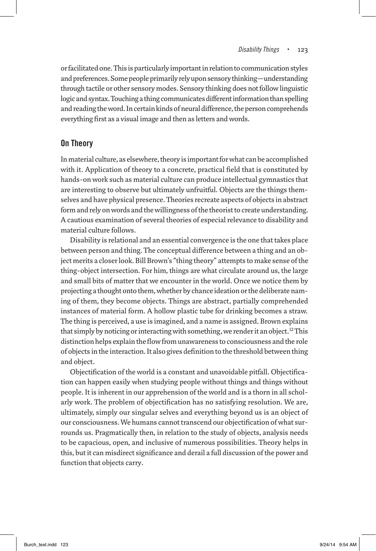or facilitated one. This is particularly important in relation to communication styles and preferences. Some people primarily rely upon sensory thinking—understanding through tactile or other sensory modes. Sensory thinking does not follow linguistic logic and syntax. Touching a thing communicates different information than spelling and reading the word. In certain kinds of neural difference, the person comprehends everything first as a visual image and then as letters and words.

# On Theory

In material culture, as elsewhere, theory is important for what can be accomplished with it. Application of theory to a concrete, practical field that is constituted by hands-on work such as material culture can produce intellectual gymnastics that are interesting to observe but ultimately unfruitful. Objects are the things themselves and have physical presence. Theories recreate aspects of objects in abstract form and rely on words and the willingness of the theorist to create understanding. A cautious examination of several theories of especial relevance to disability and material culture follows.

Disability is relational and an essential convergence is the one that takes place between person and thing. The conceptual difference between a thing and an object merits a closer look. Bill Brown's "thing theory" attempts to make sense of the thing-object intersection. For him, things are what circulate around us, the large and small bits of matter that we encounter in the world. Once we notice them by projecting a thought onto them, whether by chance ideation or the deliberate naming of them, they become objects. Things are abstract, partially comprehended instances of material form. A hollow plastic tube for drinking becomes a straw. The thing is perceived, a use is imagined, and a name is assigned. Brown explains that simply by noticing or interacting with something, we render it an object.<sup>12</sup> This distinction helps explain the flow from unawareness to consciousness and the role of objects in the interaction. It also gives definition to the threshold between thing and object.

Objectification of the world is a constant and unavoidable pitfall. Objectification can happen easily when studying people without things and things without people. It is inherent in our apprehension of the world and is a thorn in all scholarly work. The problem of objectification has no satisfying resolution. We are, ultimately, simply our singular selves and everything beyond us is an object of our consciousness. We humans cannot transcend our objectification of what surrounds us. Pragmatically then, in relation to the study of objects, analysis needs to be capacious, open, and inclusive of numerous possibilities. Theory helps in this, but it can misdirect significance and derail a full discussion of the power and function that objects carry.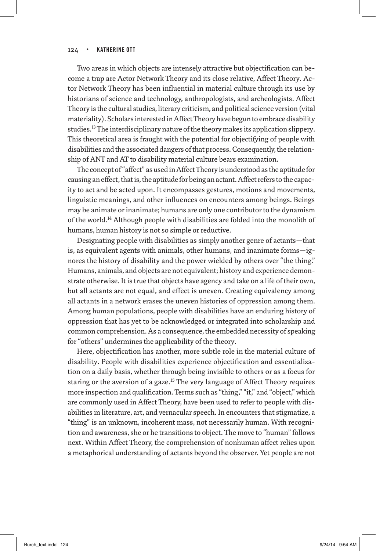#### 124 • katherine ott

Two areas in which objects are intensely attractive but objectification can become a trap are Actor Network Theory and its close relative, Affect Theory. Actor Network Theory has been influential in material culture through its use by historians of science and technology, anthropologists, and archeologists. Affect Theory is the cultural studies, literary criticism, and political science version (vital materiality). Scholars interested in Affect Theory have begun to embrace disability studies.13 The interdisciplinary nature of the theory makes its application slippery. This theoretical area is fraught with the potential for objectifying of people with disabilities and the associated dangers of that process. Consequently, the relationship of ANT and AT to disability material culture bears examination.

The concept of "affect" as used in Affect Theory is understood as the aptitude for causing an effect, that is, the aptitude for being an actant. Affect refers to the capacity to act and be acted upon. It encompasses gestures, motions and movements, linguistic meanings, and other influences on encounters among beings. Beings may be animate or inanimate; humans are only one contributor to the dynamism of the world.14 Although people with disabilities are folded into the monolith of humans, human history is not so simple or reductive.

Designating people with disabilities as simply another genre of actants—that is, as equivalent agents with animals, other humans, and inanimate forms—ignores the history of disability and the power wielded by others over "the thing." Humans, animals, and objects are not equivalent; history and experience demonstrate otherwise. It is true that objects have agency and take on a life of their own, but all actants are not equal, and effect is uneven. Creating equivalency among all actants in a network erases the uneven histories of oppression among them. Among human populations, people with disabilities have an enduring history of oppression that has yet to be acknowledged or integrated into scholarship and common comprehension. As a consequence, the embedded necessity of speaking for "others" undermines the applicability of the theory.

Here, objectification has another, more subtle role in the material culture of disability. People with disabilities experience objectification and essentialization on a daily basis, whether through being invisible to others or as a focus for staring or the aversion of a gaze.<sup>15</sup> The very language of Affect Theory requires more inspection and qualification. Terms such as "thing," "it," and "object," which are commonly used in Affect Theory, have been used to refer to people with disabilities in literature, art, and vernacular speech. In encounters that stigmatize, a "thing" is an unknown, incoherent mass, not necessarily human. With recognition and awareness, she or he transitions to object. The move to "human" follows next. Within Affect Theory, the comprehension of nonhuman affect relies upon a metaphorical understanding of actants beyond the observer. Yet people are not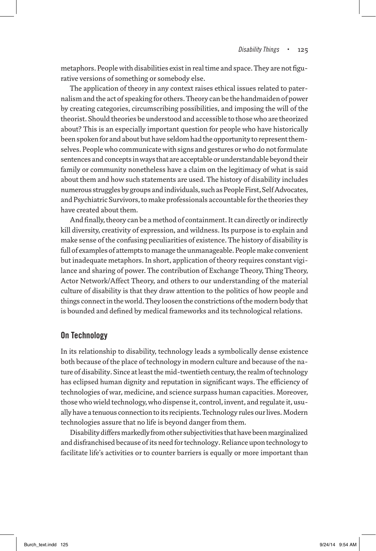metaphors. People with disabilities exist in real time and space. They are not figurative versions of something or somebody else.

The application of theory in any context raises ethical issues related to paternalism and the act of speaking for others. Theory can be the handmaiden of power by creating categories, circumscribing possibilities, and imposing the will of the theorist. Should theories be understood and accessible to those who are theorized about? This is an especially important question for people who have historically been spoken for and about but have seldom had the opportunity to represent themselves. People who communicate with signs and gestures or who do not formulate sentences and concepts in ways that are acceptable or understandable beyond their family or community nonetheless have a claim on the legitimacy of what is said about them and how such statements are used. The history of disability includes numerous struggles by groups and individuals, such as People First, Self Advocates, and Psychiatric Survivors, to make professionals accountable for the theories they have created about them.

And finally, theory can be a method of containment. It can directly or indirectly kill diversity, creativity of expression, and wildness. Its purpose is to explain and make sense of the confusing peculiarities of existence. The history of disability is full of examples of attempts to manage the unmanageable. People make convenient but inadequate metaphors. In short, application of theory requires constant vigilance and sharing of power. The contribution of Exchange Theory, Thing Theory, Actor Network/Affect Theory, and others to our understanding of the material culture of disability is that they draw attention to the politics of how people and things connect in the world. They loosen the constrictions of the modern body that is bounded and defined by medical frameworks and its technological relations.

## On Technology

In its relationship to disability, technology leads a symbolically dense existence both because of the place of technology in modern culture and because of the nature of disability. Since at least the mid-twentieth century, the realm of technology has eclipsed human dignity and reputation in significant ways. The efficiency of technologies of war, medicine, and science surpass human capacities. Moreover, those who wield technology, who dispense it, control, invent, and regulate it, usually have a tenuous connection to its recipients. Technology rules our lives. Modern technologies assure that no life is beyond danger from them.

Disability differs markedly from other subjectivities that have been marginalized and disfranchised because of its need for technology. Reliance upon technology to facilitate life's activities or to counter barriers is equally or more important than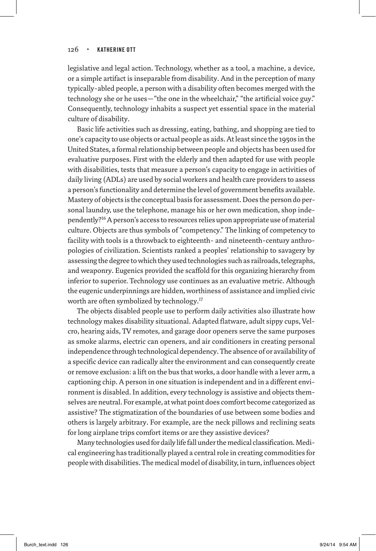legislative and legal action. Technology, whether as a tool, a machine, a device, or a simple artifact is inseparable from disability. And in the perception of many typically-abled people, a person with a disability often becomes merged with the technology she or he uses—"the one in the wheelchair," "the artificial voice guy." Consequently, technology inhabits a suspect yet essential space in the material culture of disability.

Basic life activities such as dressing, eating, bathing, and shopping are tied to one's capacity to use objects or actual people as aids. At least since the 1950s in the United States, a formal relationship between people and objects has been used for evaluative purposes. First with the elderly and then adapted for use with people with disabilities, tests that measure a person's capacity to engage in activities of daily living (ADLs) are used by social workers and health care providers to assess a person's functionality and determine the level of government benefits available. Mastery of objects is the conceptual basis for assessment. Does the person do personal laundry, use the telephone, manage his or her own medication, shop independently?16 A person's access to resources relies upon appropriate use of material culture. Objects are thus symbols of "competency." The linking of competency to facility with tools is a throwback to eighteenth- and nineteenth-century anthropologies of civilization. Scientists ranked a peoples' relationship to savagery by assessing the degree to which they used technologies such as railroads, telegraphs, and weaponry. Eugenics provided the scaffold for this organizing hierarchy from inferior to superior. Technology use continues as an evaluative metric. Although the eugenic underpinnings are hidden, worthiness of assistance and implied civic worth are often symbolized by technology.<sup>17</sup>

The objects disabled people use to perform daily activities also illustrate how technology makes disability situational. Adapted flatware, adult sippy cups, Velcro, hearing aids, TV remotes, and garage door openers serve the same purposes as smoke alarms, electric can openers, and air conditioners in creating personal independence through technological dependency. The absence of or availability of a specific device can radically alter the environment and can consequently create or remove exclusion: a lift on the bus that works, a door handle with a lever arm, a captioning chip. A person in one situation is independent and in a different environment is disabled. In addition, every technology is assistive and objects themselves are neutral. For example, at what point does comfort become categorized as assistive? The stigmatization of the boundaries of use between some bodies and others is largely arbitrary. For example, are the neck pillows and reclining seats for long airplane trips comfort items or are they assistive devices?

Many technologies used for daily life fall under the medical classification. Medical engineering has traditionally played a central role in creating commodities for people with disabilities. The medical model of disability, in turn, influences object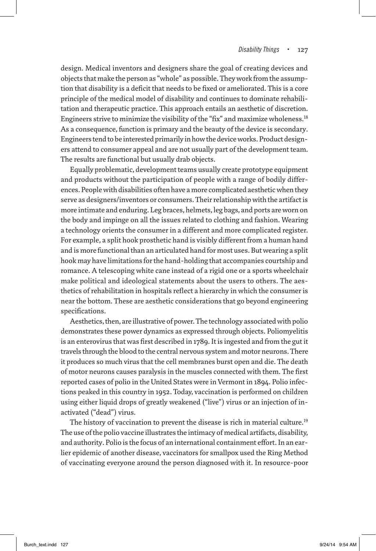design. Medical inventors and designers share the goal of creating devices and objects that make the person as "whole" as possible. They work from the assumption that disability is a deficit that needs to be fixed or ameliorated. This is a core principle of the medical model of disability and continues to dominate rehabilitation and therapeutic practice. This approach entails an aesthetic of discretion. Engineers strive to minimize the visibility of the "fix" and maximize wholeness.18 As a consequence, function is primary and the beauty of the device is secondary. Engineers tend to be interested primarily in how the device works. Product designers attend to consumer appeal and are not usually part of the development team. The results are functional but usually drab objects.

Equally problematic, development teams usually create prototype equipment and products without the participation of people with a range of bodily differences. People with disabilities often have a more complicated aesthetic when they serve as designers/inventors or consumers. Their relationship with the artifact is more intimate and enduring. Leg braces, helmets, leg bags, and ports are worn on the body and impinge on all the issues related to clothing and fashion. Wearing a technology orients the consumer in a different and more complicated register. For example, a split hook prosthetic hand is visibly different from a human hand and is more functional than an articulated hand for most uses. But wearing a split hook may have limitations for the hand-holding that accompanies courtship and romance. A telescoping white cane instead of a rigid one or a sports wheelchair make political and ideological statements about the users to others. The aesthetics of rehabilitation in hospitals reflect a hierarchy in which the consumer is near the bottom. These are aesthetic considerations that go beyond engineering specifications.

Aesthetics, then, are illustrative of power. The technology associated with polio demonstrates these power dynamics as expressed through objects. Poliomyelitis is an enterovirus that was first described in 1789. It is ingested and from the gut it travels through the blood to the central nervous system and motor neurons. There it produces so much virus that the cell membranes burst open and die. The death of motor neurons causes paralysis in the muscles connected with them. The first reported cases of polio in the United States were in Vermont in 1894. Polio infections peaked in this country in 1952. Today, vaccination is performed on children using either liquid drops of greatly weakened ("live") virus or an injection of inactivated ("dead") virus.

The history of vaccination to prevent the disease is rich in material culture.<sup>19</sup> The use of the polio vaccine illustrates the intimacy of medical artifacts, disability, and authority. Polio is the focus of an international containment effort. In an earlier epidemic of another disease, vaccinators for smallpox used the Ring Method of vaccinating everyone around the person diagnosed with it. In resource-poor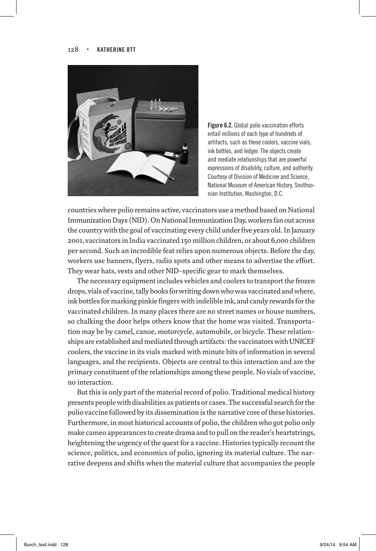

Figure 6.2. Global polio vaccination efforts entail millions of each type of hundreds of artifacts, such as these coolers, vaccine vials, ink bottles, and ledger. The objects create and mediate relationships that are powerful expressions of disability, culture, and authority. Courtesy of Division of Medicine and Science, National Museum of American History, Smithsonian Institution, Washington, D.C.

countries where polio remains active, vaccinators use a method based on National Immunization Days (NID). On National Immunization Day, workers fan out across the country with the goal of vaccinating every child under five years old. In January 2001, vaccinators in India vaccinated 150 million children, or about 6,000 children per second. Such an incredible feat relies upon numerous objects. Before the day, workers use banners, flyers, radio spots and other means to advertise the effort. They wear hats, vests and other NID-specific gear to mark themselves.

The necessary equipment includes vehicles and coolers to transport the frozen drops, vials of vaccine, tally books for writing down who was vaccinated and where, ink bottles for marking pinkie fingers with indelible ink, and candy rewards for the vaccinated children. In many places there are no street names or house numbers, so chalking the door helps others know that the home was visited. Transportation may be by camel, canoe, motorcycle, automobile, or bicycle. These relationships are established and mediated through artifacts: the vaccinators with UNICEF coolers, the vaccine in its vials marked with minute bits of information in several languages, and the recipients. Objects are central to this interaction and are the primary constituent of the relationships among these people. No vials of vaccine, no interaction.

But this is only part of the material record of polio. Traditional medical history presents people with disabilities as patients or cases. The successful search for the polio vaccine followed by its dissemination is the narrative core of these histories. Furthermore, in most historical accounts of polio, the children who got polio only make cameo appearances to create drama and to pull on the reader's heartstrings, heightening the urgency of the quest for a vaccine. Histories typically recount the science, politics, and economics of polio, ignoring its material culture. The narrative deepens and shifts when the material culture that accompanies the people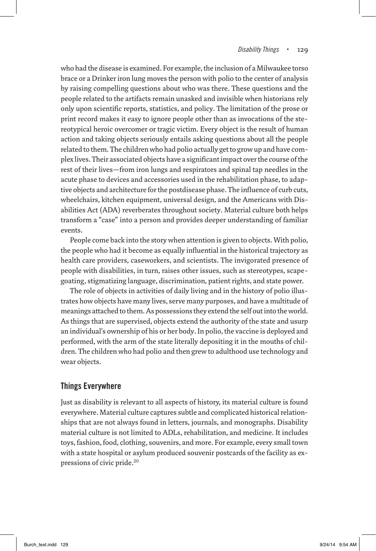who had the disease is examined. For example, the inclusion of a Milwaukee torso brace or a Drinker iron lung moves the person with polio to the center of analysis by raising compelling questions about who was there. These questions and the people related to the artifacts remain unasked and invisible when historians rely only upon scientific reports, statistics, and policy. The limitation of the prose or print record makes it easy to ignore people other than as invocations of the stereotypical heroic overcomer or tragic victim. Every object is the result of human action and taking objects seriously entails asking questions about all the people related to them. The children who had polio actually get to grow up and have complex lives. Their associated objects have a significant impact over the course of the rest of their lives—from iron lungs and respirators and spinal tap needles in the acute phase to devices and accessories used in the rehabilitation phase, to adaptive objects and architecture for the postdisease phase. The influence of curb cuts, wheelchairs, kitchen equipment, universal design, and the Americans with Disabilities Act (ADA) reverberates throughout society. Material culture both helps transform a "case" into a person and provides deeper understanding of familiar events.

People come back into the story when attention is given to objects. With polio, the people who had it become as equally influential in the historical trajectory as health care providers, caseworkers, and scientists. The invigorated presence of people with disabilities, in turn, raises other issues, such as stereotypes, scapegoating, stigmatizing language, discrimination, patient rights, and state power.

The role of objects in activities of daily living and in the history of polio illustrates how objects have many lives, serve many purposes, and have a multitude of meanings attached to them. As possessions they extend the self out into the world. As things that are supervised, objects extend the authority of the state and usurp an individual's ownership of his or her body. In polio, the vaccine is deployed and performed, with the arm of the state literally depositing it in the mouths of children. The children who had polio and then grew to adulthood use technology and wear objects.

# Things Everywhere

Just as disability is relevant to all aspects of history, its material culture is found everywhere. Material culture captures subtle and complicated historical relationships that are not always found in letters, journals, and monographs. Disability material culture is not limited to ADLs, rehabilitation, and medicine. It includes toys, fashion, food, clothing, souvenirs, and more. For example, every small town with a state hospital or asylum produced souvenir postcards of the facility as expressions of civic pride.<sup>20</sup>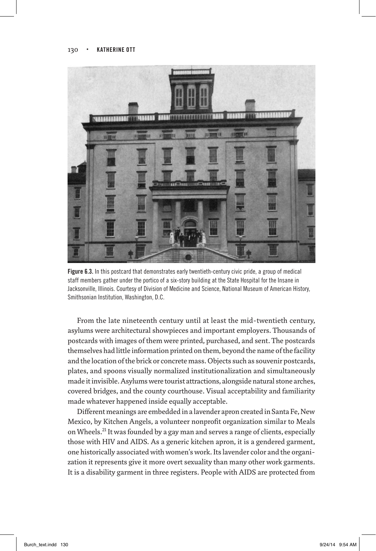

Figure 6.3. In this postcard that demonstrates early twentieth-century civic pride, a group of medical staff members gather under the portico of a six-story building at the State Hospital for the Insane in Jacksonville, Illinois. Courtesy of Division of Medicine and Science, National Museum of American History, Smithsonian Institution, Washington, D.C.

From the late nineteenth century until at least the mid-twentieth century, asylums were architectural showpieces and important employers. Thousands of postcards with images of them were printed, purchased, and sent. The postcards themselves had little information printed on them, beyond the name of the facility and the location of the brick or concrete mass. Objects such as souvenir postcards, plates, and spoons visually normalized institutionalization and simultaneously made it invisible. Asylums were tourist attractions, alongside natural stone arches, covered bridges, and the county courthouse. Visual acceptability and familiarity made whatever happened inside equally acceptable.

Different meanings are embedded in a lavender apron created in Santa Fe, New Mexico, by Kitchen Angels, a volunteer nonprofit organization similar to Meals on Wheels.21 It was founded by a gay man and serves a range of clients, especially those with HIV and AIDS. As a generic kitchen apron, it is a gendered garment, one historically associated with women's work. Its lavender color and the organization it represents give it more overt sexuality than many other work garments. It is a disability garment in three registers. People with AIDS are protected from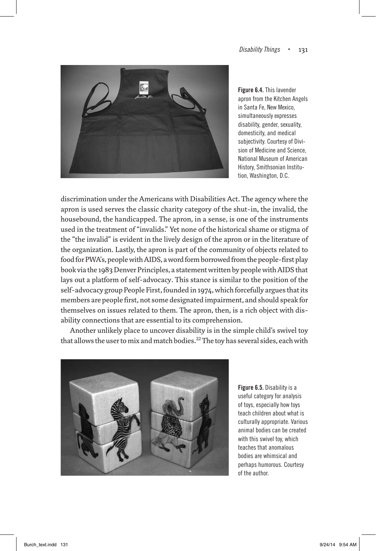

Figure 6.4. This lavender apron from the Kitchen Angels in Santa Fe, New Mexico, simultaneously expresses disability, gender, sexuality, domesticity, and medical subjectivity. Courtesy of Division of Medicine and Science, National Museum of American History, Smithsonian Institution, Washington, D.C.

discrimination under the Americans with Disabilities Act. The agency where the apron is used serves the classic charity category of the shut-in, the invalid, the housebound, the handicapped. The apron, in a sense, is one of the instruments used in the treatment of "invalids." Yet none of the historical shame or stigma of the "the invalid" is evident in the lively design of the apron or in the literature of the organization. Lastly, the apron is part of the community of objects related to food for PWA's, people with AIDS, a word form borrowed from the people-first play book via the 1983 Denver Principles, a statement written by people with AIDS that lays out a platform of self-advocacy. This stance is similar to the position of the self-advocacy group People First, founded in 1974, which forcefully argues that its members are people first, not some designated impairment, and should speak for themselves on issues related to them. The apron, then, is a rich object with disability connections that are essential to its comprehension.

Another unlikely place to uncover disability is in the simple child's swivel toy that allows the user to mix and match bodies.22 The toy has several sides, each with



Figure 6.5. Disability is a useful category for analysis of toys, especially how toys teach children about what is culturally appropriate. Various animal bodies can be created with this swivel toy, which teaches that anomalous bodies are whimsical and perhaps humorous. Courtesy of the author.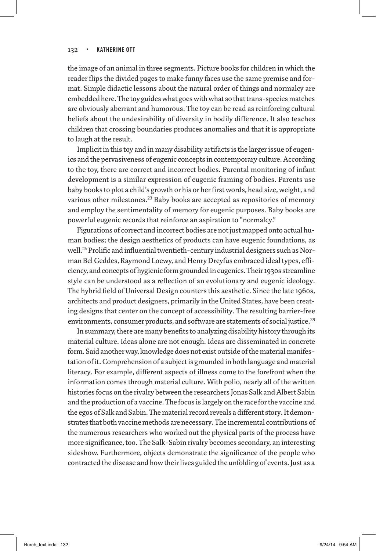#### 132 • katherine ott

the image of an animal in three segments. Picture books for children in which the reader flips the divided pages to make funny faces use the same premise and format. Simple didactic lessons about the natural order of things and normalcy are embedded here. The toy guides what goes with what so that trans-species matches are obviously aberrant and humorous. The toy can be read as reinforcing cultural beliefs about the undesirability of diversity in bodily difference. It also teaches children that crossing boundaries produces anomalies and that it is appropriate to laugh at the result.

Implicit in this toy and in many disability artifacts is the larger issue of eugenics and the pervasiveness of eugenic concepts in contemporary culture. According to the toy, there are correct and incorrect bodies. Parental monitoring of infant development is a similar expression of eugenic framing of bodies. Parents use baby books to plot a child's growth or his or her first words, head size, weight, and various other milestones.<sup>23</sup> Baby books are accepted as repositories of memory and employ the sentimentality of memory for eugenic purposes. Baby books are powerful eugenic records that reinforce an aspiration to "normalcy."

Figurations of correct and incorrect bodies are not just mapped onto actual human bodies; the design aesthetics of products can have eugenic foundations, as well.24 Prolific and influential twentieth-century industrial designers such as Norman Bel Geddes, Raymond Loewy, and Henry Dreyfus embraced ideal types, efficiency, and concepts of hygienic form grounded in eugenics. Their 1930s streamline style can be understood as a reflection of an evolutionary and eugenic ideology. The hybrid field of Universal Design counters this aesthetic. Since the late 1960s, architects and product designers, primarily in the United States, have been creating designs that center on the concept of accessibility. The resulting barrier-free environments, consumer products, and software are statements of social justice.<sup>25</sup>

In summary, there are many benefits to analyzing disability history through its material culture. Ideas alone are not enough. Ideas are disseminated in concrete form. Said another way, knowledge does not exist outside of the material manifestation of it. Comprehension of a subject is grounded in both language and material literacy. For example, different aspects of illness come to the forefront when the information comes through material culture. With polio, nearly all of the written histories focus on the rivalry between the researchers Jonas Salk and Albert Sabin and the production of a vaccine. The focus is largely on the race for the vaccine and the egos of Salk and Sabin. The material record reveals a different story. It demonstrates that both vaccine methods are necessary. The incremental contributions of the numerous researchers who worked out the physical parts of the process have more significance, too. The Salk-Sabin rivalry becomes secondary, an interesting sideshow. Furthermore, objects demonstrate the significance of the people who contracted the disease and how their lives guided the unfolding of events. Just as a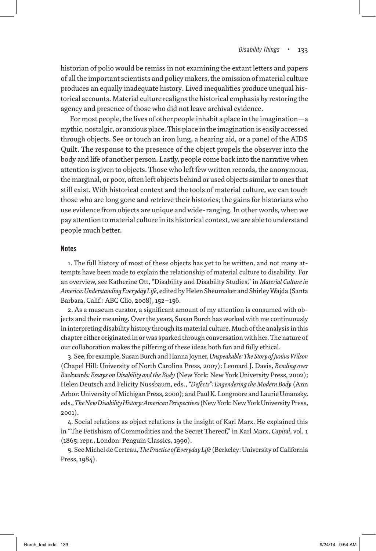historian of polio would be remiss in not examining the extant letters and papers of all the important scientists and policy makers, the omission of material culture produces an equally inadequate history. Lived inequalities produce unequal historical accounts. Material culture realigns the historical emphasis by restoring the agency and presence of those who did not leave archival evidence.

For most people, the lives of other people inhabit a place in the imagination—a mythic, nostalgic, or anxious place. This place in the imagination is easily accessed through objects. See or touch an iron lung, a hearing aid, or a panel of the AIDS Quilt. The response to the presence of the object propels the observer into the body and life of another person. Lastly, people come back into the narrative when attention is given to objects. Those who left few written records, the anonymous, the marginal, or poor, often left objects behind or used objects similar to ones that still exist. With historical context and the tools of material culture, we can touch those who are long gone and retrieve their histories; the gains for historians who use evidence from objects are unique and wide-ranging. In other words, when we pay attention to material culture in its historical context, we are able to understand people much better.

#### **Notes**

1. The full history of most of these objects has yet to be written, and not many attempts have been made to explain the relationship of material culture to disability. For an overview, see Katherine Ott, "Disability and Disability Studies," in *Material Culture in America: Understanding Everyday Life*, edited by Helen Sheumaker and Shirley Wajda (Santa Barbara, Calif.: ABC Clio, 2008), 152–156.

2. As a museum curator, a significant amount of my attention is consumed with objects and their meaning. Over the years, Susan Burch has worked with me continuously in interpreting disability history through its material culture. Much of the analysis in this chapter either originated in or was sparked through conversation with her. The nature of our collaboration makes the pilfering of these ideas both fun and fully ethical.

3. See, for example, Susan Burch and Hanna Joyner, *Unspeakable: The Story of Junius Wilson* (Chapel Hill: University of North Carolina Press, 2007); Leonard J. Davis, *Bending over Backwards: Essays on Disability and the Body* (New York: New York University Press, 2002); Helen Deutsch and Felicity Nussbaum, eds., *"Defects": Engendering the Modern Body* (Ann Arbor: University of Michigan Press, 2000); and Paul K. Longmore and Laurie Umansky, eds., *The New Disability History: American Perspectives* (New York: New York University Press, 2001).

4. Social relations as object relations is the insight of Karl Marx. He explained this in "The Fetishism of Commodities and the Secret Thereof," in Karl Marx, *Capital*, vol. 1 (1865; repr., London: Penguin Classics, 1990).

5. See Michel de Certeau, *The Practice of Everyday Life* (Berkeley: University of California Press, 1984).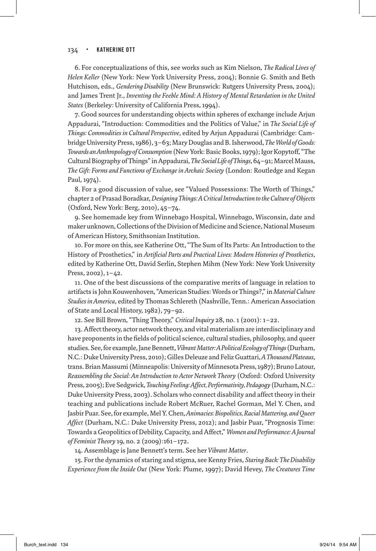#### 134 • katherine ott

6. For conceptualizations of this, see works such as Kim Nielson, *The Radical Lives of Helen Keller* (New York: New York University Press, 2004); Bonnie G. Smith and Beth Hutchison, eds., *Gendering Disability* (New Brunswick: Rutgers University Press, 2004); and James Trent Jr., *Inventing the Feeble Mind: A History of Mental Retardation in the United States* (Berkeley: University of California Press, 1994).

7. Good sources for understanding objects within spheres of exchange include Arjun Appadurai, "Introduction: Commodities and the Politics of Value," in *The Social Life of Things: Commodities in Cultural Perspective*, edited by Arjun Appadurai (Cambridge: Cambridge University Press, 1986), 3–63; Mary Douglas and B. Isherwood, *The World of Goods: Towards an Anthropology of Consumption* (New York: Basic Books, 1979); Igor Kopytoff, "The Cultural Biography of Things" in Appadurai, *The Social Life of Things*, 64–91; Marcel Mauss, *The Gift: Forms and Functions of Exchange in Archaic Society* (London: Routledge and Kegan Paul, 1974).

8. For a good discussion of value, see "Valued Possessions: The Worth of Things," chapter 2 of Prasad Boradkar, *Designing Things: A Critical Introduction to the Culture of Objects* (Oxford, New York: Berg, 2010), 45–74.

9. See homemade key from Winnebago Hospital, Winnebago, Wisconsin, date and maker unknown, Collections of the Division of Medicine and Science, National Museum of American History, Smithsonian Institution.

10. For more on this, see Katherine Ott, "The Sum of Its Parts: An Introduction to the History of Prosthetics," in *Artificial Parts and Practical Lives: Modern Histories of Prosthetics*, edited by Katherine Ott, David Serlin, Stephen Mihm (New York: New York University Press, 2002), 1–42.

11. One of the best discussions of the comparative merits of language in relation to artifacts is John Kouwenhoven, "American Studies: Words or Things?," in *Material Culture Studies in America*, edited by Thomas Schlereth (Nashville, Tenn.: American Association of State and Local History, 1982), 79–92.

12. See Bill Brown, "Thing Theory," *Critical Inquiry* 28, no. 1 (2001): 1–22.

13. Affect theory, actor network theory, and vital materialism are interdisciplinary and have proponents in the fields of political science, cultural studies, philosophy, and queer studies. See, for example, Jane Bennett, *Vibrant Matter: A Political Ecology of Things* (Durham, N.C.: Duke University Press, 2010); Gilles Deleuze and Feliz Guattari, *A Thousand Plateaus*, trans. Brian Massumi (Minneapolis: University of Minnesota Press, 1987); Bruno Latour, *Reassembling the Social: An Introduction to Actor Network Theory* (Oxford: Oxford University Press, 2005); Eve Sedgwick, *Touching Feeling: Affect, Performativity, Pedagogy* (Durham, N.C.: Duke University Press, 2003). Scholars who connect disability and affect theory in their teaching and publications include Robert McRuer, Rachel Gorman, Mel Y. Chen, and Jasbir Puar. See, for example, Mel Y. Chen, *Animacies: Biopolitics, Racial Mattering, and Queer Affect* (Durham, N.C.: Duke University Press, 2012); and Jasbir Puar, "Prognosis Time: Towards a Geopolitics of Debility, Capacity, and Affect," *Women and Performance: A Journal of Feminist Theory* 19, no. 2 (2009):161–172.

14. Assemblage is Jane Bennett's term. See her *Vibrant Matter*.

15. For the dynamics of staring and stigma, see Kenny Fries, *Staring Back: The Disability Experience from the Inside Out* (New York: Plume, 1997); David Hevey, *The Creatures Time*